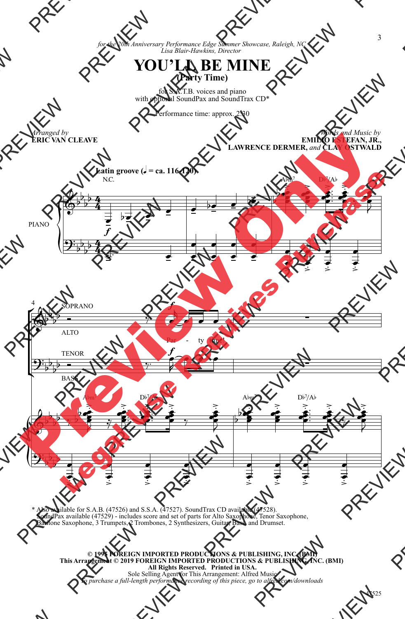*for the 20th Anniversary Performance Edge Summer Showcase, Raleigh, NC Lisa Blair-Hawkins, Director* 

## **YOU'LL BE MINE (Party Time)**

for S.A.T.B. voices and piano with optional SoundPax and SoundTrax CD\*

Performance time: approx. 2:30

*Arranged by* **ERIC VAN CLEAVE**



\* Also available for S.A.B. (47526) and S.S.A. (47527). SoundTrax CD available (47528).<br>SoundPax available (47529) - includes score and set of parts for Alto Saxophone, Tenor Saxophone, Baritone Saxophone, 3 Trumpets, 2 Tr

**© 1995 FOREIGN IMPORTED PRODUCTIONS & PUBLISHING, INC. (BMI) This Arrangement © 2019 FOREIGN IMPORTED PRODUCTIONS & PUBLISHING, INC. (BMI) All Rights Reserved. Printed in USA.** Sole Selling Agent for This Arrangement: Alfred Music *To purchase a full-length performance recording of this piece, go to alfred.com/downloads*

*Words and Music by* **EMILIO ESTEFAN, JR.,**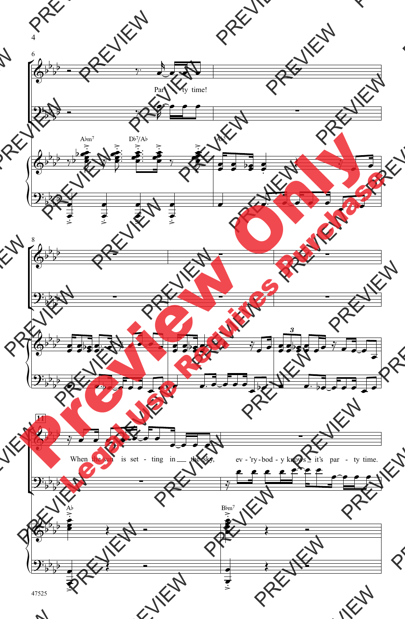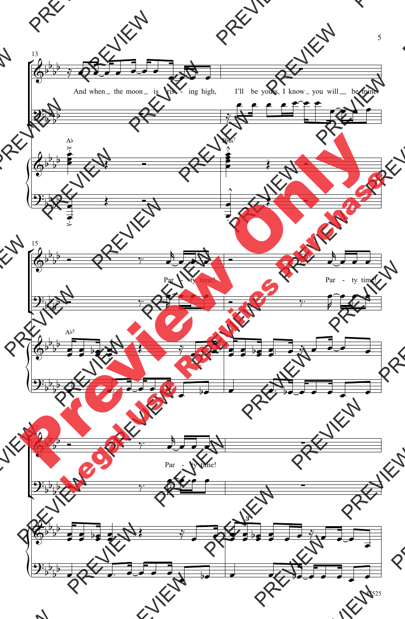

47525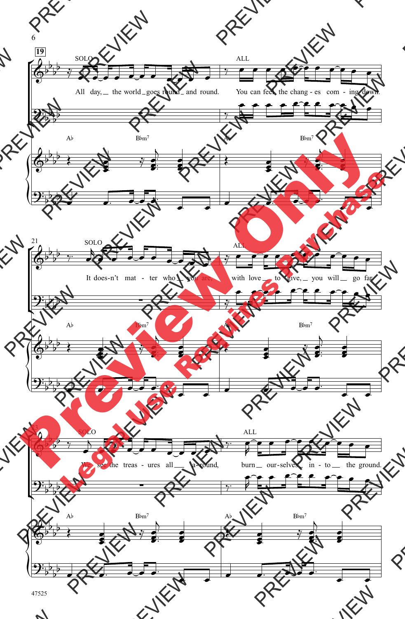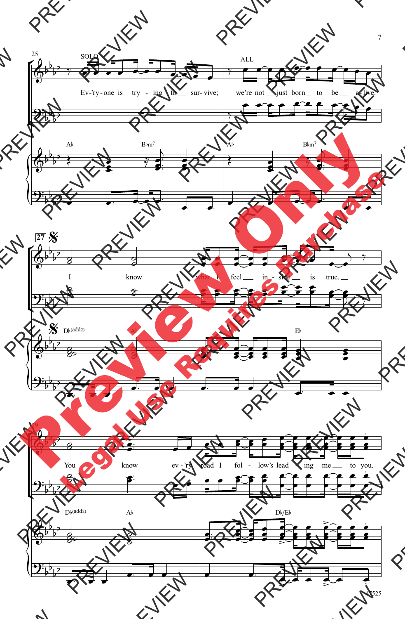

47525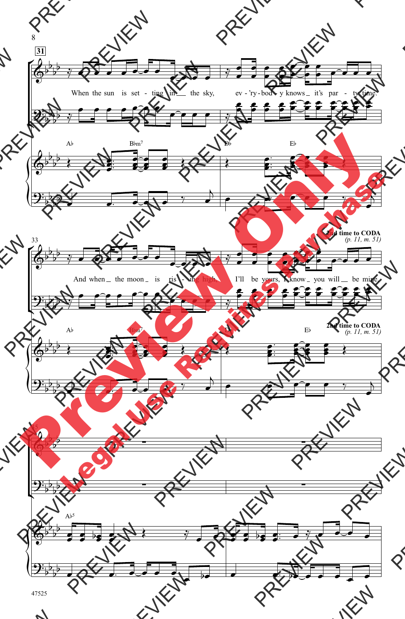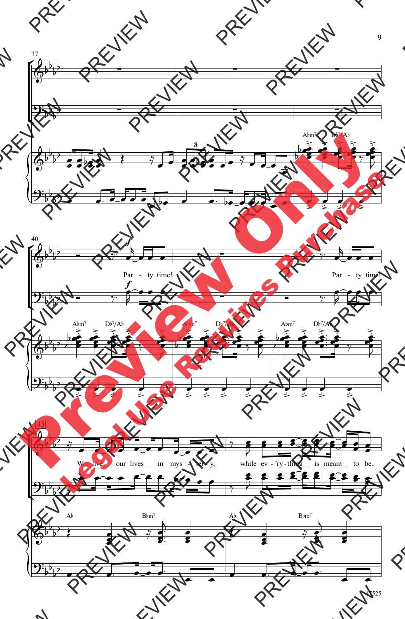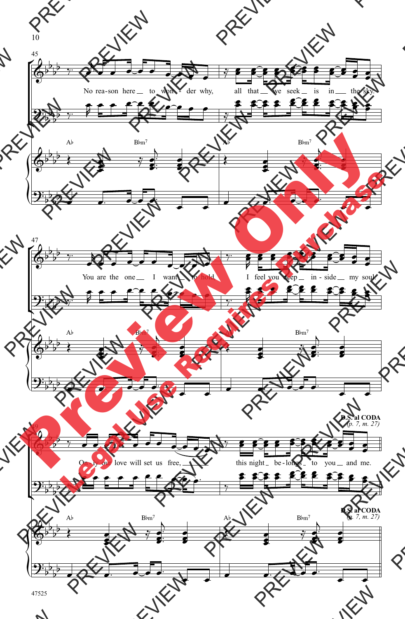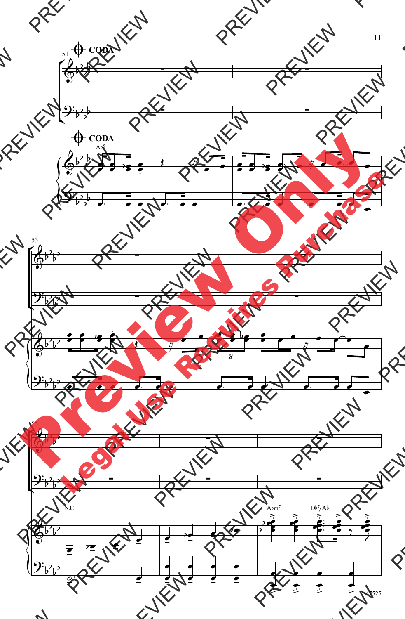